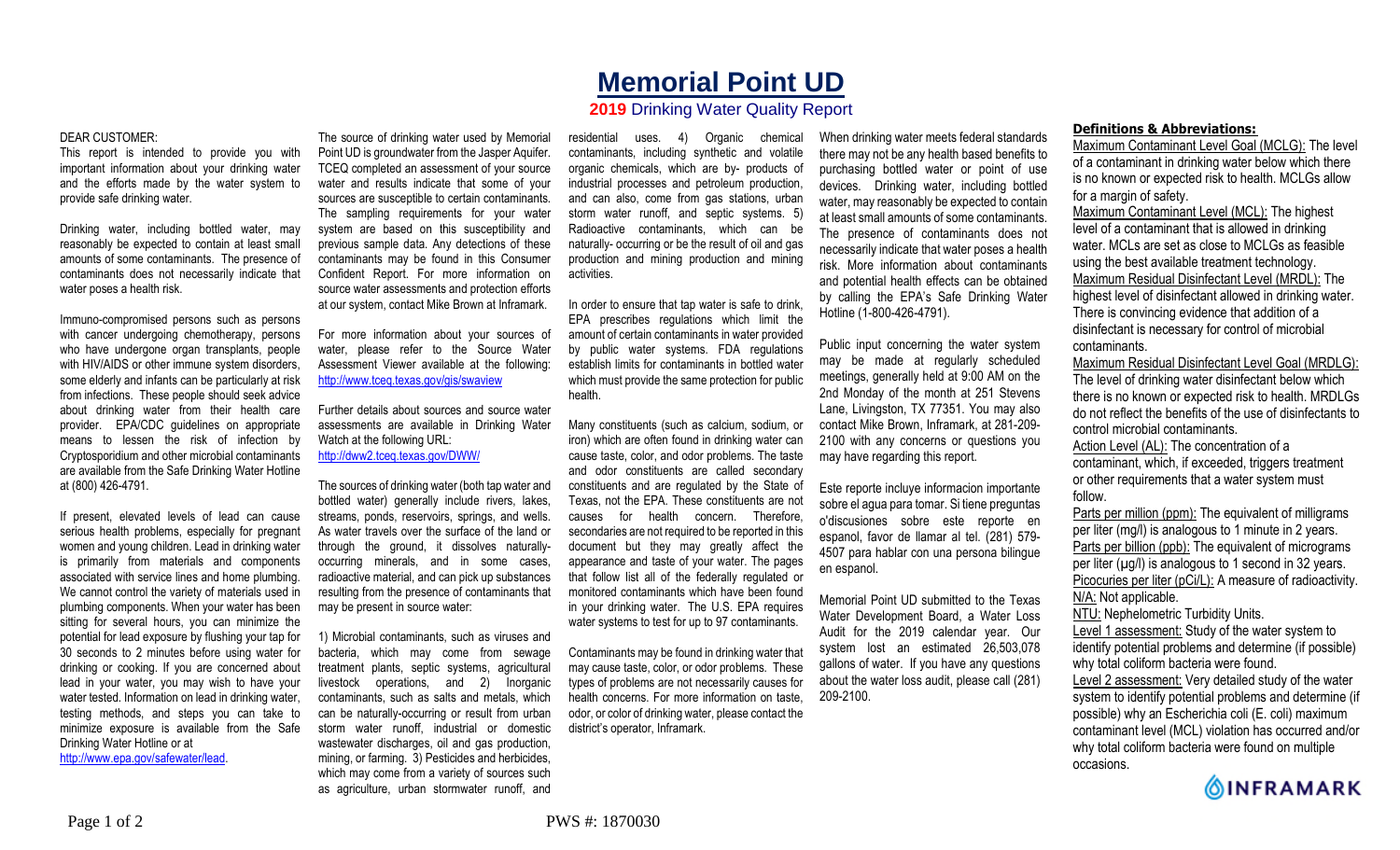## **Memorial Point UD**

## **2019** Drinking Water Quality Report

## DEAR CUSTOMER:

This report is intended to provide you with important information about your drinking water and the efforts made by the water system to provide safe drinking water.

Drinking water, including bottled water, may reasonably be expected to contain at least small amounts of some contaminants. The presence of contaminants does not necessarily indicate that water poses a health risk.

Immuno-compromised persons such as persons with cancer undergoing chemotherapy, persons who have undergone organ transplants, people with HIV/AIDS or other immune system disorders, some elderly and infants can be particularly at risk from infections. These people should seek advice about drinking water from their health care provider. EPA/CDC guidelines on appropriate means to lessen the risk of infection by Cryptosporidium and other microbial contaminants are available from the Safe Drinking Water Hotline at (800) 426-4791.

If present, elevated levels of lead can cause serious health problems, especially for pregnant women and young children. Lead in drinking water is primarily from materials and components associated with service lines and home plumbing. We cannot control the variety of materials used in plumbing components. When your water has been sitting for several hours, you can minimize the potential for lead exposure by flushing your tap for 30 seconds to 2 minutes before using water for drinking or cooking. If you are concerned about lead in your water, you may wish to have your water tested. Information on lead in drinking water, testing methods, and steps you can take to minimize exposure is available from the Safe Drinking Water Hotline or at http://www.epa.gov/safewater/lead.

The source of drinking water used by Memorial Point UD is groundwater from the Jasper Aquifer. TCEQ completed an assessment of your source water and results indicate that some of your sources are susceptible to certain contaminants. The sampling requirements for your water system are based on this susceptibility and previous sample data. Any detections of these contaminants may be found in this Consumer Confident Report. For more information on source water assessments and protection efforts at our system, contact Mike Brown at Inframark.

For more information about your sources of water, please refer to the Source Water Assessment Viewer available at the following: http://www.tceq.texas.gov/gis/swaview

Further details about sources and source water assessments are available in Drinking Water Watch at the following URL: http://dww2.tceq.texas.gov/DWW/

The sources of drinking water (both tap water and bottled water) generally include rivers, lakes, streams, ponds, reservoirs, springs, and wells. As water travels over the surface of the land or through the ground, it dissolves naturallyoccurring minerals, and in some cases, radioactive material, and can pick up substances resulting from the presence of contaminants that may be present in source water:

1) Microbial contaminants, such as viruses and bacteria, which may come from sewage treatment plants, septic systems, agricultural livestock operations, and 2) Inorganic contaminants, such as salts and metals, which can be naturally-occurring or result from urban storm water runoff, industrial or domestic wastewater discharges, oil and gas production, mining, or farming. 3) Pesticides and herbicides, which may come from a variety of sources such as agriculture, urban stormwater runoff, and

residential uses. 4) Organic chemical contaminants, including synthetic and volatile organic chemicals, which are by- products of industrial processes and petroleum production, and can also, come from gas stations, urban storm water runoff, and septic systems. 5) Radioactive contaminants, which can be naturally- occurring or be the result of oil and gas production and mining production and mining activities.

In order to ensure that tap water is safe to drink, EPA prescribes regulations which limit the amount of certain contaminants in water provided by public water systems. FDA regulations establish limits for contaminants in bottled water which must provide the same protection for public health.

Many constituents (such as calcium, sodium, or iron) which are often found in drinking water can cause taste, color, and odor problems. The taste and odor constituents are called secondary constituents and are regulated by the State of Texas, not the EPA. These constituents are not causes for health concern. Therefore, secondaries are not required to be reported in this document but they may greatly affect the appearance and taste of your water. The pages that follow list all of the federally regulated or monitored contaminants which have been found in your drinking water. The U.S. EPA requires water systems to test for up to 97 contaminants.

Contaminants may be found in drinking water that may cause taste, color, or odor problems. These types of problems are not necessarily causes for health concerns. For more information on taste, odor, or color of drinking water, please contact the district's operator, Inframark.

When drinking water meets federal standards there may not be any health based benefits to purchasing bottled water or point of use devices. Drinking water, including bottled water, may reasonably be expected to contain at least small amounts of some contaminants. The presence of contaminants does not necessarily indicate that water poses a health risk. More information about contaminants and potential health effects can be obtained by calling the EPA's Safe Drinking Water Hotline (1-800-426-4791).

Public input concerning the water system may be made at regularly scheduled meetings, generally held at 9:00 AM on the 2nd Monday of the month at 251 Stevens Lane, Livingston, TX 77351. You may also contact Mike Brown, Inframark, at 281-209- 2100 with any concerns or questions you may have regarding this report.

Este reporte incluye informacion importante sobre el agua para tomar. Si tiene preguntas o'discusiones sobre este reporte en espanol, favor de llamar al tel. (281) 579- 4507 para hablar con una persona bilingue en espanol.

Memorial Point UD submitted to the Texas Water Development Board, a Water Loss Audit for the 2019 calendar year. Our system lost an estimated 26,503,078 gallons of water. If you have any questions about the water loss audit, please call (281) 209-2100.

## **Definitions & Abbreviations:**

Maximum Contaminant Level Goal (MCLG): The level of a contaminant in drinking water below which there is no known or expected risk to health. MCLGs allow for a margin of safety.

Maximum Contaminant Level (MCL): The highest level of a contaminant that is allowed in drinking water. MCLs are set as close to MCLGs as feasible using the best available treatment technology. Maximum Residual Disinfectant Level (MRDL): The highest level of disinfectant allowed in drinking water. There is convincing evidence that addition of a disinfectant is necessary for control of microbial contaminants.

Maximum Residual Disinfectant Level Goal (MRDLG): The level of drinking water disinfectant below which there is no known or expected risk to health. MRDLGs do not reflect the benefits of the use of disinfectants to control microbial contaminants.

Action Level (AL): The concentration of a contaminant, which, if exceeded, triggers treatment or other requirements that a water system must follow.

Parts per million (ppm): The equivalent of milligrams per liter (mg/l) is analogous to 1 minute in 2 years. Parts per billion (ppb): The equivalent of micrograms per liter  $(\mu g/l)$  is analogous to 1 second in 32 years. Picocuries per liter (pCi/L): A measure of radioactivity. N/A: Not applicable. NTU: Nephelometric Turbidity Units.

Level 1 assessment: Study of the water system to identify potential problems and determine (if possible) why total coliform bacteria were found.

Level 2 assessment: Very detailed study of the water system to identify potential problems and determine (if possible) why an Escherichia coli (E. coli) maximum contaminant level (MCL) violation has occurred and/or why total coliform bacteria were found on multiple occasions.